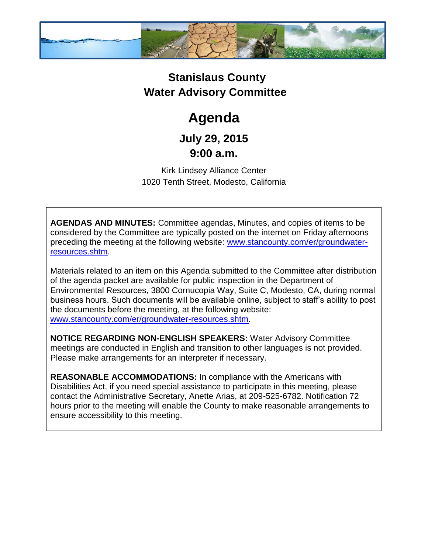

## **Stanislaus County Water Advisory Committee**

# **Agenda**

### **July 29, 2015 9:00 a.m.**

Kirk Lindsey Alliance Center 1020 Tenth Street, Modesto, California

**AGENDAS AND MINUTES:** Committee agendas, Minutes, and copies of items to be considered by the Committee are typically posted on the internet on Friday afternoons preceding the meeting at the following website: [www.stancounty.com/er/groundwater](http://www.stancounty.com/er/groundwater-resources.shtm)[resources.shtm.](http://www.stancounty.com/er/groundwater-resources.shtm)

Materials related to an item on this Agenda submitted to the Committee after distribution of the agenda packet are available for public inspection in the Department of Environmental Resources, 3800 Cornucopia Way, Suite C, Modesto, CA, during normal business hours. Such documents will be available online, subject to staff's ability to post the documents before the meeting, at the following website: [www.stancounty.com/er/groundwater-resources.shtm.](http://www.stancounty.com/er/groundwater-resources.shtm)

**NOTICE REGARDING NON-ENGLISH SPEAKERS:** Water Advisory Committee meetings are conducted in English and transition to other languages is not provided. Please make arrangements for an interpreter if necessary.

**REASONABLE ACCOMMODATIONS:** In compliance with the Americans with Disabilities Act, if you need special assistance to participate in this meeting, please contact the Administrative Secretary, Anette Arias, at 209-525-6782. Notification 72 hours prior to the meeting will enable the County to make reasonable arrangements to ensure accessibility to this meeting.